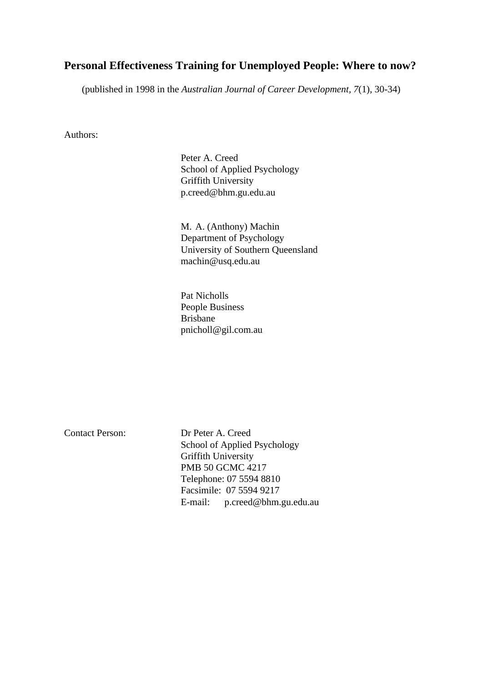## **Personal Effectiveness Training for Unemployed People: Where to now?**

(published in 1998 in the *Australian Journal of Career Development, 7*(1), 30-34)

Authors:

Peter A. Creed School of Applied Psychology Griffith University p.creed@bhm.gu.edu.au

M. A. (Anthony) Machin Department of Psychology University of Southern Queensland machin@usq.edu.au

Pat Nicholls People Business Brisbane pnicholl@gil.com.au

Contact Person: Dr Peter A. Creed School of Applied Psychology Griffith University PMB 50 GCMC 4217 Telephone: 07 5594 8810 Facsimile: 07 5594 9217 E-mail: p.creed@bhm.gu.edu.au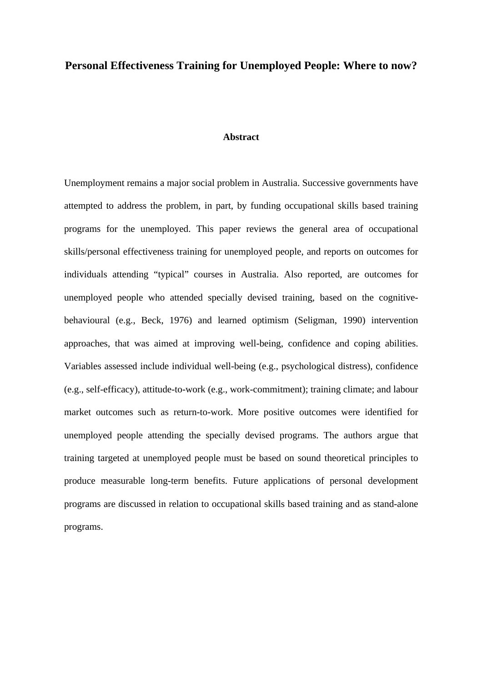## **Personal Effectiveness Training for Unemployed People: Where to now?**

## **Abstract**

Unemployment remains a major social problem in Australia. Successive governments have attempted to address the problem, in part, by funding occupational skills based training programs for the unemployed. This paper reviews the general area of occupational skills/personal effectiveness training for unemployed people, and reports on outcomes for individuals attending "typical" courses in Australia. Also reported, are outcomes for unemployed people who attended specially devised training, based on the cognitivebehavioural (e.g., Beck, 1976) and learned optimism (Seligman, 1990) intervention approaches, that was aimed at improving well-being, confidence and coping abilities. Variables assessed include individual well-being (e.g., psychological distress), confidence (e.g., self-efficacy), attitude-to-work (e.g., work-commitment); training climate; and labour market outcomes such as return-to-work. More positive outcomes were identified for unemployed people attending the specially devised programs. The authors argue that training targeted at unemployed people must be based on sound theoretical principles to produce measurable long-term benefits. Future applications of personal development programs are discussed in relation to occupational skills based training and as stand-alone programs.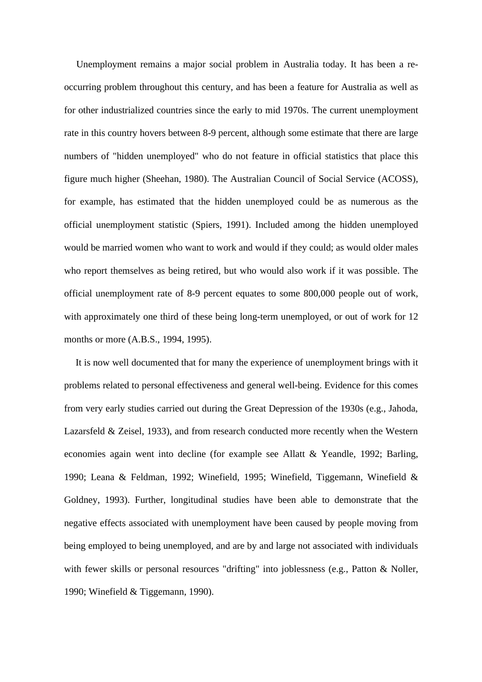Unemployment remains a major social problem in Australia today. It has been a reoccurring problem throughout this century, and has been a feature for Australia as well as for other industrialized countries since the early to mid 1970s. The current unemployment rate in this country hovers between 8-9 percent, although some estimate that there are large numbers of "hidden unemployed" who do not feature in official statistics that place this figure much higher (Sheehan, 1980). The Australian Council of Social Service (ACOSS), for example, has estimated that the hidden unemployed could be as numerous as the official unemployment statistic (Spiers, 1991). Included among the hidden unemployed would be married women who want to work and would if they could; as would older males who report themselves as being retired, but who would also work if it was possible. The official unemployment rate of 8-9 percent equates to some 800,000 people out of work, with approximately one third of these being long-term unemployed, or out of work for 12 months or more (A.B.S., 1994, 1995).

It is now well documented that for many the experience of unemployment brings with it problems related to personal effectiveness and general well-being. Evidence for this comes from very early studies carried out during the Great Depression of the 1930s (e.g., Jahoda, Lazarsfeld & Zeisel, 1933), and from research conducted more recently when the Western economies again went into decline (for example see Allatt & Yeandle, 1992; Barling, 1990; Leana & Feldman, 1992; Winefield, 1995; Winefield, Tiggemann, Winefield & Goldney, 1993). Further, longitudinal studies have been able to demonstrate that the negative effects associated with unemployment have been caused by people moving from being employed to being unemployed, and are by and large not associated with individuals with fewer skills or personal resources "drifting" into joblessness (e.g., Patton & Noller, 1990; Winefield & Tiggemann, 1990).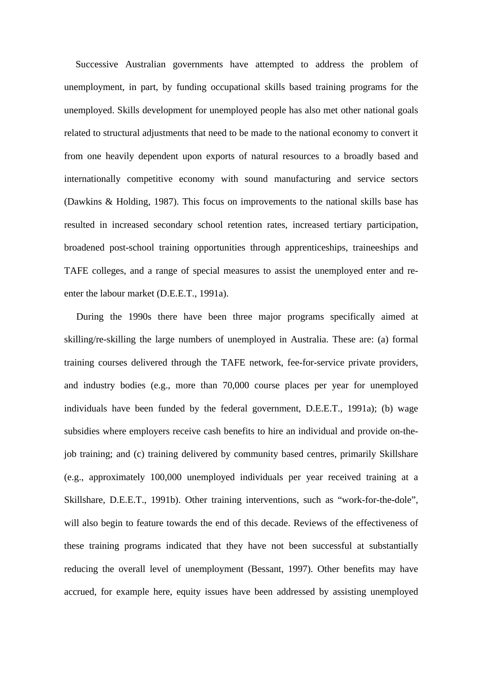Successive Australian governments have attempted to address the problem of unemployment, in part, by funding occupational skills based training programs for the unemployed. Skills development for unemployed people has also met other national goals related to structural adjustments that need to be made to the national economy to convert it from one heavily dependent upon exports of natural resources to a broadly based and internationally competitive economy with sound manufacturing and service sectors (Dawkins & Holding, 1987). This focus on improvements to the national skills base has resulted in increased secondary school retention rates, increased tertiary participation, broadened post-school training opportunities through apprenticeships, traineeships and TAFE colleges, and a range of special measures to assist the unemployed enter and reenter the labour market (D.E.E.T., 1991a).

 During the 1990s there have been three major programs specifically aimed at skilling/re-skilling the large numbers of unemployed in Australia. These are: (a) formal training courses delivered through the TAFE network, fee-for-service private providers, and industry bodies (e.g., more than 70,000 course places per year for unemployed individuals have been funded by the federal government, D.E.E.T., 1991a); (b) wage subsidies where employers receive cash benefits to hire an individual and provide on-thejob training; and (c) training delivered by community based centres, primarily Skillshare (e.g., approximately 100,000 unemployed individuals per year received training at a Skillshare, D.E.E.T., 1991b). Other training interventions, such as "work-for-the-dole", will also begin to feature towards the end of this decade. Reviews of the effectiveness of these training programs indicated that they have not been successful at substantially reducing the overall level of unemployment (Bessant, 1997). Other benefits may have accrued, for example here, equity issues have been addressed by assisting unemployed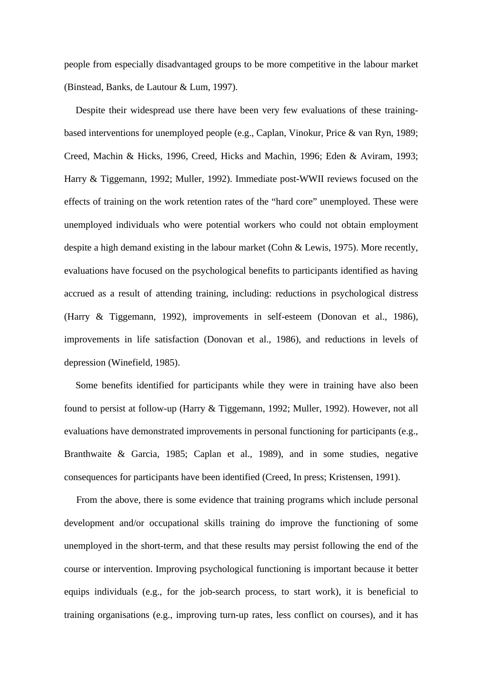people from especially disadvantaged groups to be more competitive in the labour market (Binstead, Banks, de Lautour & Lum, 1997).

Despite their widespread use there have been very few evaluations of these trainingbased interventions for unemployed people (e.g., Caplan, Vinokur, Price & van Ryn, 1989; Creed, Machin & Hicks, 1996, Creed, Hicks and Machin, 1996; Eden & Aviram, 1993; Harry & Tiggemann, 1992; Muller, 1992). Immediate post-WWII reviews focused on the effects of training on the work retention rates of the "hard core" unemployed. These were unemployed individuals who were potential workers who could not obtain employment despite a high demand existing in the labour market (Cohn & Lewis, 1975). More recently, evaluations have focused on the psychological benefits to participants identified as having accrued as a result of attending training, including: reductions in psychological distress (Harry & Tiggemann, 1992), improvements in self-esteem (Donovan et al., 1986), improvements in life satisfaction (Donovan et al., 1986), and reductions in levels of depression (Winefield, 1985).

Some benefits identified for participants while they were in training have also been found to persist at follow-up (Harry & Tiggemann, 1992; Muller, 1992). However, not all evaluations have demonstrated improvements in personal functioning for participants (e.g., Branthwaite & Garcia, 1985; Caplan et al., 1989), and in some studies, negative consequences for participants have been identified (Creed, In press; Kristensen, 1991).

 From the above, there is some evidence that training programs which include personal development and/or occupational skills training do improve the functioning of some unemployed in the short-term, and that these results may persist following the end of the course or intervention. Improving psychological functioning is important because it better equips individuals (e.g., for the job-search process, to start work), it is beneficial to training organisations (e.g., improving turn-up rates, less conflict on courses), and it has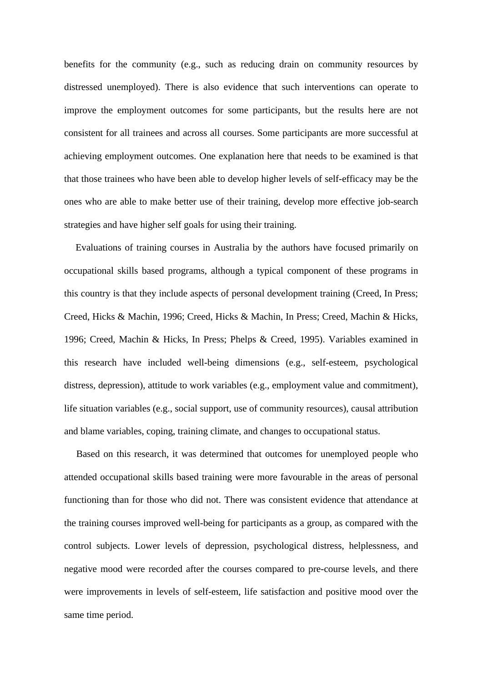benefits for the community (e.g., such as reducing drain on community resources by distressed unemployed). There is also evidence that such interventions can operate to improve the employment outcomes for some participants, but the results here are not consistent for all trainees and across all courses. Some participants are more successful at achieving employment outcomes. One explanation here that needs to be examined is that that those trainees who have been able to develop higher levels of self-efficacy may be the ones who are able to make better use of their training, develop more effective job-search strategies and have higher self goals for using their training.

Evaluations of training courses in Australia by the authors have focused primarily on occupational skills based programs, although a typical component of these programs in this country is that they include aspects of personal development training (Creed, In Press; Creed, Hicks & Machin, 1996; Creed, Hicks & Machin, In Press; Creed, Machin & Hicks, 1996; Creed, Machin & Hicks, In Press; Phelps & Creed, 1995). Variables examined in this research have included well-being dimensions (e.g., self-esteem, psychological distress, depression), attitude to work variables (e.g., employment value and commitment), life situation variables (e.g., social support, use of community resources), causal attribution and blame variables, coping, training climate, and changes to occupational status.

 Based on this research, it was determined that outcomes for unemployed people who attended occupational skills based training were more favourable in the areas of personal functioning than for those who did not. There was consistent evidence that attendance at the training courses improved well-being for participants as a group, as compared with the control subjects. Lower levels of depression, psychological distress, helplessness, and negative mood were recorded after the courses compared to pre-course levels, and there were improvements in levels of self-esteem, life satisfaction and positive mood over the same time period.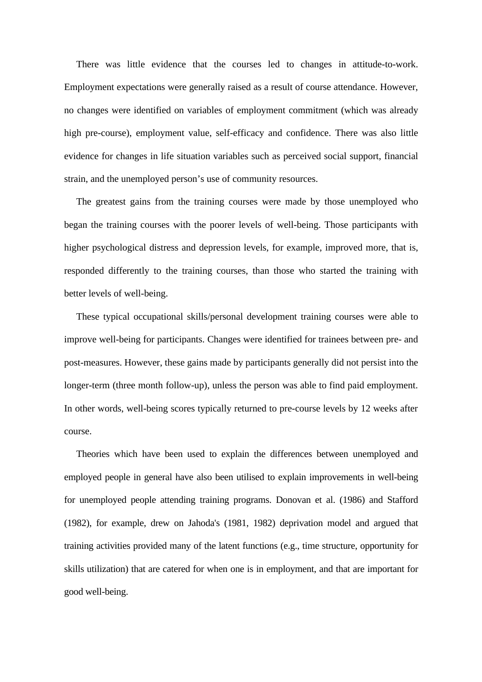There was little evidence that the courses led to changes in attitude-to-work. Employment expectations were generally raised as a result of course attendance. However, no changes were identified on variables of employment commitment (which was already high pre-course), employment value, self-efficacy and confidence. There was also little evidence for changes in life situation variables such as perceived social support, financial strain, and the unemployed person's use of community resources.

 The greatest gains from the training courses were made by those unemployed who began the training courses with the poorer levels of well-being. Those participants with higher psychological distress and depression levels, for example, improved more, that is, responded differently to the training courses, than those who started the training with better levels of well-being.

 These typical occupational skills/personal development training courses were able to improve well-being for participants. Changes were identified for trainees between pre- and post-measures. However, these gains made by participants generally did not persist into the longer-term (three month follow-up), unless the person was able to find paid employment. In other words, well-being scores typically returned to pre-course levels by 12 weeks after course.

 Theories which have been used to explain the differences between unemployed and employed people in general have also been utilised to explain improvements in well-being for unemployed people attending training programs. Donovan et al. (1986) and Stafford (1982), for example, drew on Jahoda's (1981, 1982) deprivation model and argued that training activities provided many of the latent functions (e.g., time structure, opportunity for skills utilization) that are catered for when one is in employment, and that are important for good well-being.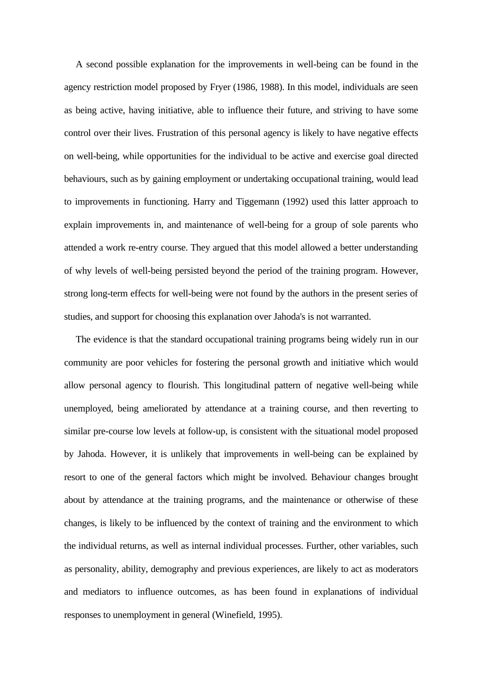A second possible explanation for the improvements in well-being can be found in the agency restriction model proposed by Fryer (1986, 1988). In this model, individuals are seen as being active, having initiative, able to influence their future, and striving to have some control over their lives. Frustration of this personal agency is likely to have negative effects on well-being, while opportunities for the individual to be active and exercise goal directed behaviours, such as by gaining employment or undertaking occupational training, would lead to improvements in functioning. Harry and Tiggemann (1992) used this latter approach to explain improvements in, and maintenance of well-being for a group of sole parents who attended a work re-entry course. They argued that this model allowed a better understanding of why levels of well-being persisted beyond the period of the training program. However, strong long-term effects for well-being were not found by the authors in the present series of studies, and support for choosing this explanation over Jahoda's is not warranted.

 The evidence is that the standard occupational training programs being widely run in our community are poor vehicles for fostering the personal growth and initiative which would allow personal agency to flourish. This longitudinal pattern of negative well-being while unemployed, being ameliorated by attendance at a training course, and then reverting to similar pre-course low levels at follow-up, is consistent with the situational model proposed by Jahoda. However, it is unlikely that improvements in well-being can be explained by resort to one of the general factors which might be involved. Behaviour changes brought about by attendance at the training programs, and the maintenance or otherwise of these changes, is likely to be influenced by the context of training and the environment to which the individual returns, as well as internal individual processes. Further, other variables, such as personality, ability, demography and previous experiences, are likely to act as moderators and mediators to influence outcomes, as has been found in explanations of individual responses to unemployment in general (Winefield, 1995).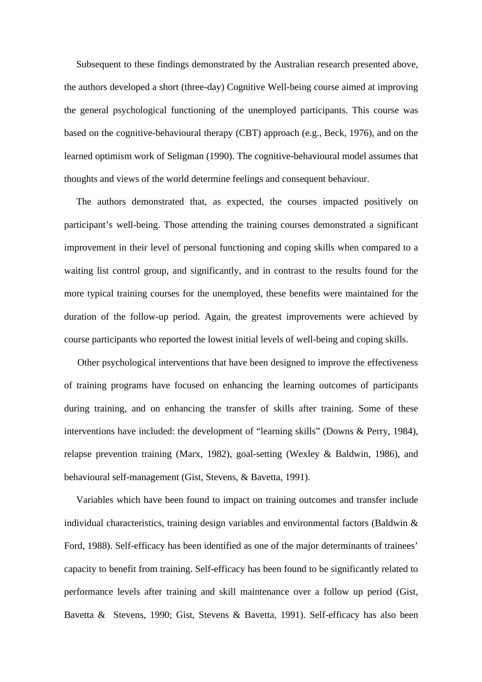Subsequent to these findings demonstrated by the Australian research presented above, the authors developed a short (three-day) Cognitive Well-being course aimed at improving the general psychological functioning of the unemployed participants. This course was based on the cognitive-behavioural therapy (CBT) approach (e.g., Beck, 1976), and on the learned optimism work of Seligman (1990). The cognitive-behavioural model assumes that thoughts and views of the world determine feelings and consequent behaviour.

 The authors demonstrated that, as expected, the courses impacted positively on participant's well-being. Those attending the training courses demonstrated a significant improvement in their level of personal functioning and coping skills when compared to a waiting list control group, and significantly, and in contrast to the results found for the more typical training courses for the unemployed, these benefits were maintained for the duration of the follow-up period. Again, the greatest improvements were achieved by course participants who reported the lowest initial levels of well-being and coping skills.

 Other psychological interventions that have been designed to improve the effectiveness of training programs have focused on enhancing the learning outcomes of participants during training, and on enhancing the transfer of skills after training. Some of these interventions have included: the development of "learning skills" (Downs & Perry, 1984), relapse prevention training (Marx, 1982), goal-setting (Wexley & Baldwin, 1986), and behavioural self-management (Gist, Stevens, & Bavetta, 1991).

 Variables which have been found to impact on training outcomes and transfer include individual characteristics, training design variables and environmental factors (Baldwin & Ford, 1988). Self-efficacy has been identified as one of the major determinants of trainees' capacity to benefit from training. Self-efficacy has been found to be significantly related to performance levels after training and skill maintenance over a follow up period (Gist, Bavetta & Stevens, 1990; Gist, Stevens & Bavetta, 1991). Self-efficacy has also been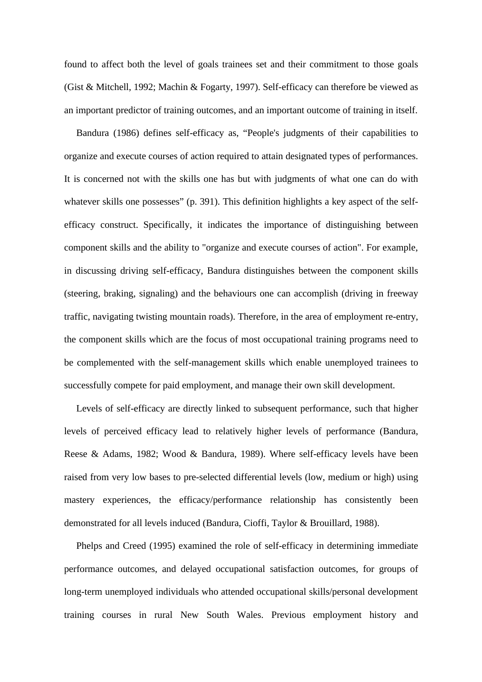found to affect both the level of goals trainees set and their commitment to those goals (Gist & Mitchell, 1992; Machin & Fogarty, 1997). Self-efficacy can therefore be viewed as an important predictor of training outcomes, and an important outcome of training in itself.

 Bandura (1986) defines self-efficacy as, "People's judgments of their capabilities to organize and execute courses of action required to attain designated types of performances. It is concerned not with the skills one has but with judgments of what one can do with whatever skills one possesses" (p. 391). This definition highlights a key aspect of the selfefficacy construct. Specifically, it indicates the importance of distinguishing between component skills and the ability to "organize and execute courses of action". For example, in discussing driving self-efficacy, Bandura distinguishes between the component skills (steering, braking, signaling) and the behaviours one can accomplish (driving in freeway traffic, navigating twisting mountain roads). Therefore, in the area of employment re-entry, the component skills which are the focus of most occupational training programs need to be complemented with the self-management skills which enable unemployed trainees to successfully compete for paid employment, and manage their own skill development.

 Levels of self-efficacy are directly linked to subsequent performance, such that higher levels of perceived efficacy lead to relatively higher levels of performance (Bandura, Reese & Adams, 1982; Wood & Bandura, 1989). Where self-efficacy levels have been raised from very low bases to pre-selected differential levels (low, medium or high) using mastery experiences, the efficacy/performance relationship has consistently been demonstrated for all levels induced (Bandura, Cioffi, Taylor & Brouillard, 1988).

 Phelps and Creed (1995) examined the role of self-efficacy in determining immediate performance outcomes, and delayed occupational satisfaction outcomes, for groups of long-term unemployed individuals who attended occupational skills/personal development training courses in rural New South Wales. Previous employment history and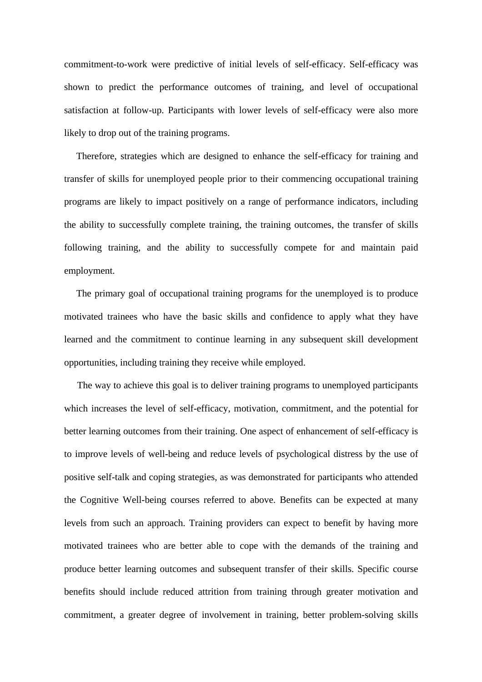commitment-to-work were predictive of initial levels of self-efficacy. Self-efficacy was shown to predict the performance outcomes of training, and level of occupational satisfaction at follow-up. Participants with lower levels of self-efficacy were also more likely to drop out of the training programs.

 Therefore, strategies which are designed to enhance the self-efficacy for training and transfer of skills for unemployed people prior to their commencing occupational training programs are likely to impact positively on a range of performance indicators, including the ability to successfully complete training, the training outcomes, the transfer of skills following training, and the ability to successfully compete for and maintain paid employment.

 The primary goal of occupational training programs for the unemployed is to produce motivated trainees who have the basic skills and confidence to apply what they have learned and the commitment to continue learning in any subsequent skill development opportunities, including training they receive while employed.

 The way to achieve this goal is to deliver training programs to unemployed participants which increases the level of self-efficacy, motivation, commitment, and the potential for better learning outcomes from their training. One aspect of enhancement of self-efficacy is to improve levels of well-being and reduce levels of psychological distress by the use of positive self-talk and coping strategies, as was demonstrated for participants who attended the Cognitive Well-being courses referred to above. Benefits can be expected at many levels from such an approach. Training providers can expect to benefit by having more motivated trainees who are better able to cope with the demands of the training and produce better learning outcomes and subsequent transfer of their skills. Specific course benefits should include reduced attrition from training through greater motivation and commitment, a greater degree of involvement in training, better problem-solving skills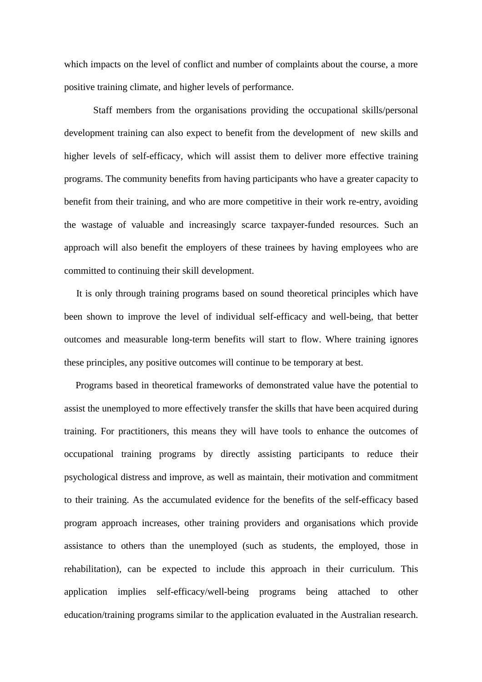which impacts on the level of conflict and number of complaints about the course, a more positive training climate, and higher levels of performance.

Staff members from the organisations providing the occupational skills/personal development training can also expect to benefit from the development of new skills and higher levels of self-efficacy, which will assist them to deliver more effective training programs. The community benefits from having participants who have a greater capacity to benefit from their training, and who are more competitive in their work re-entry, avoiding the wastage of valuable and increasingly scarce taxpayer-funded resources. Such an approach will also benefit the employers of these trainees by having employees who are committed to continuing their skill development.

 It is only through training programs based on sound theoretical principles which have been shown to improve the level of individual self-efficacy and well-being, that better outcomes and measurable long-term benefits will start to flow. Where training ignores these principles, any positive outcomes will continue to be temporary at best.

Programs based in theoretical frameworks of demonstrated value have the potential to assist the unemployed to more effectively transfer the skills that have been acquired during training. For practitioners, this means they will have tools to enhance the outcomes of occupational training programs by directly assisting participants to reduce their psychological distress and improve, as well as maintain, their motivation and commitment to their training. As the accumulated evidence for the benefits of the self-efficacy based program approach increases, other training providers and organisations which provide assistance to others than the unemployed (such as students, the employed, those in rehabilitation), can be expected to include this approach in their curriculum. This application implies self-efficacy/well-being programs being attached to other education/training programs similar to the application evaluated in the Australian research.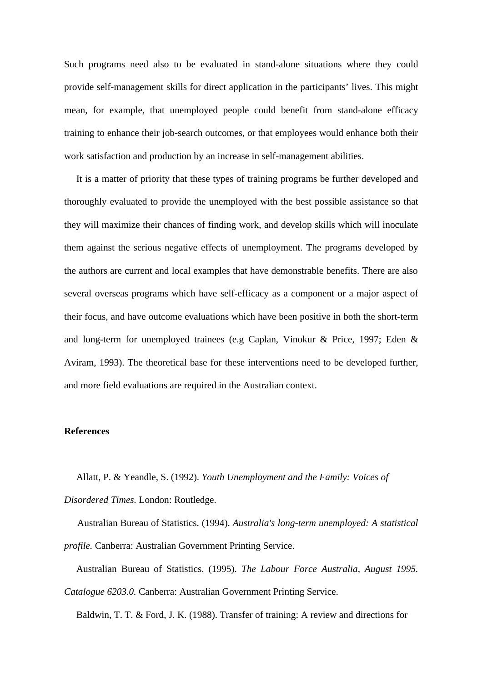Such programs need also to be evaluated in stand-alone situations where they could provide self-management skills for direct application in the participants' lives. This might mean, for example, that unemployed people could benefit from stand-alone efficacy training to enhance their job-search outcomes, or that employees would enhance both their work satisfaction and production by an increase in self-management abilities.

 It is a matter of priority that these types of training programs be further developed and thoroughly evaluated to provide the unemployed with the best possible assistance so that they will maximize their chances of finding work, and develop skills which will inoculate them against the serious negative effects of unemployment. The programs developed by the authors are current and local examples that have demonstrable benefits. There are also several overseas programs which have self-efficacy as a component or a major aspect of their focus, and have outcome evaluations which have been positive in both the short-term and long-term for unemployed trainees (e.g Caplan, Vinokur & Price, 1997; Eden & Aviram, 1993). The theoretical base for these interventions need to be developed further, and more field evaluations are required in the Australian context.

## **References**

 Allatt, P. & Yeandle, S. (1992). *Youth Unemployment and the Family: Voices of Disordered Times.* London: Routledge.

 Australian Bureau of Statistics. (1994). *Australia's long-term unemployed: A statistical profile.* Canberra: Australian Government Printing Service.

 Australian Bureau of Statistics. (1995). *The Labour Force Australia, August 1995. Catalogue 6203.0.* Canberra: Australian Government Printing Service.

Baldwin, T. T. & Ford, J. K. (1988). Transfer of training: A review and directions for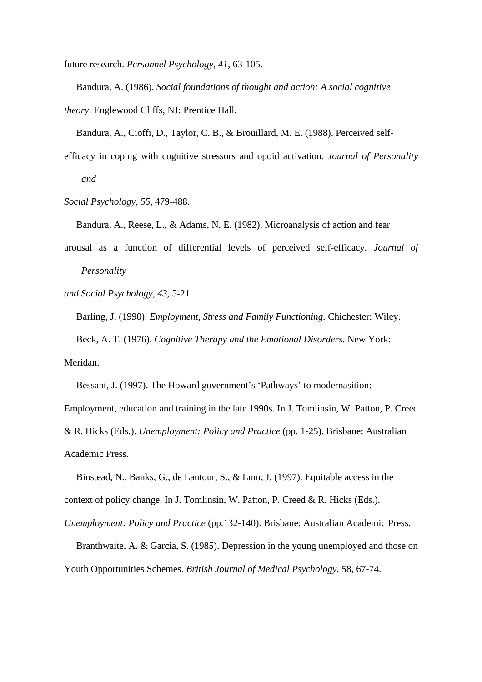future research. *Personnel Psychology, 41*, 63-105.

 Bandura, A. (1986). *Social foundations of thought and action: A social cognitive theory*. Englewood Cliffs, NJ: Prentice Hall.

Bandura, A., Cioffi, D., Taylor, C. B., & Brouillard, M. E. (1988). Perceived self-

efficacy in coping with cognitive stressors and opoid activation*. Journal of Personality and* 

*Social Psychology, 55,* 479-488.

Bandura, A., Reese, L., & Adams, N. E. (1982). Microanalysis of action and fear

arousal as a function of differential levels of perceived self-efficacy*. Journal of Personality* 

*and Social Psychology, 43*, 5-21.

 Barling, J. (1990). *Employment, Stress and Family Functioning.* Chichester: Wiley. Beck, A. T. (1976). *Cognitive Therapy and the Emotional Disorders*. New York: Meridan.

Bessant, J. (1997). The Howard government's 'Pathways' to modernasition:

Employment, education and training in the late 1990s. In J. Tomlinsin, W. Patton, P. Creed

& R. Hicks (Eds.). *Unemployment: Policy and Practice* (pp. 1-25). Brisbane: Australian Academic Press.

 Binstead, N., Banks, G., de Lautour, S., & Lum, J. (1997). Equitable access in the context of policy change. In J. Tomlinsin, W. Patton, P. Creed & R. Hicks (Eds.).

*Unemployment: Policy and Practice* (pp.132-140). Brisbane: Australian Academic Press.

 Branthwaite, A. & Garcia, S. (1985). Depression in the young unemployed and those on Youth Opportunities Schemes. *British Journal of Medical Psychology,* 58, 67-74.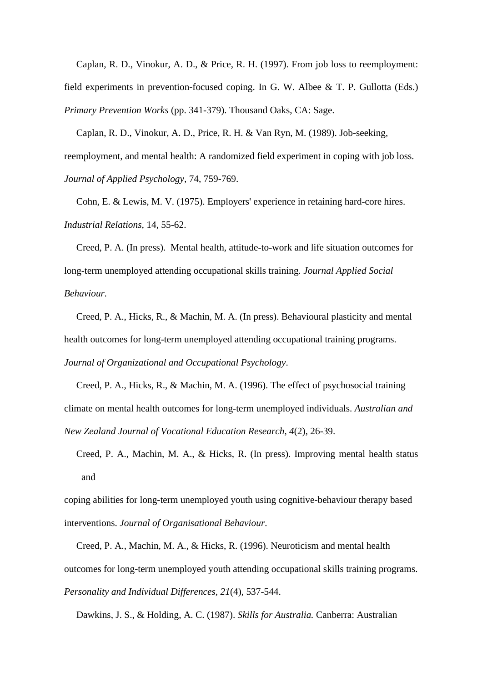Caplan, R. D., Vinokur, A. D., & Price, R. H. (1997). From job loss to reemployment: field experiments in prevention-focused coping. In G. W. Albee & T. P. Gullotta (Eds.) *Primary Prevention Works* (pp. 341-379). Thousand Oaks, CA: Sage.

 Caplan, R. D., Vinokur, A. D., Price, R. H. & Van Ryn, M. (1989). Job-seeking, reemployment, and mental health: A randomized field experiment in coping with job loss. *Journal of Applied Psychology,* 74, 759-769.

 Cohn, E. & Lewis, M. V. (1975). Employers' experience in retaining hard-core hires. *Industrial Relations,* 14, 55-62.

 Creed, P. A. (In press). Mental health, attitude-to-work and life situation outcomes for long-term unemployed attending occupational skills training*. Journal Applied Social Behaviour.*

 Creed, P. A., Hicks, R., & Machin, M. A. (In press). Behavioural plasticity and mental health outcomes for long-term unemployed attending occupational training programs. *Journal of Organizational and Occupational Psychology*.

 Creed, P. A., Hicks, R., & Machin, M. A. (1996). The effect of psychosocial training climate on mental health outcomes for long-term unemployed individuals. *Australian and New Zealand Journal of Vocational Education Research, 4*(2), 26-39.

 Creed, P. A., Machin, M. A., & Hicks, R. (In press). Improving mental health status and

coping abilities for long-term unemployed youth using cognitive-behaviour therapy based interventions. *Journal of Organisational Behaviour*.

 Creed, P. A., Machin, M. A., & Hicks, R. (1996). Neuroticism and mental health outcomes for long-term unemployed youth attending occupational skills training programs. *Personality and Individual Differences, 21*(4), 537-544.

Dawkins, J. S., & Holding, A. C. (1987). *Skills for Australia.* Canberra: Australian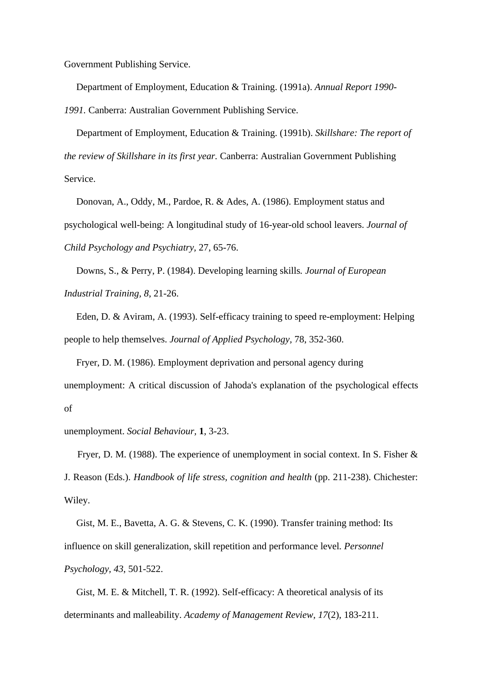Government Publishing Service.

Department of Employment, Education & Training. (1991a). *Annual Report 1990-*

*1991.* Canberra: Australian Government Publishing Service.

 Department of Employment, Education & Training. (1991b). *Skillshare: The report of the review of Skillshare in its first year.* Canberra: Australian Government Publishing Service.

 Donovan, A., Oddy, M., Pardoe, R. & Ades, A. (1986). Employment status and psychological well-being: A longitudinal study of 16-year-old school leavers. *Journal of Child Psychology and Psychiatry,* 27, 65-76.

 Downs, S., & Perry, P. (1984). Developing learning skills*. Journal of European Industrial Training, 8*, 21-26.

 Eden, D. & Aviram, A. (1993). Self-efficacy training to speed re-employment: Helping people to help themselves. *Journal of Applied Psychology,* 78, 352-360.

 Fryer, D. M. (1986). Employment deprivation and personal agency during unemployment: A critical discussion of Jahoda's explanation of the psychological effects of

unemployment. *Social Behaviour,* **1**, 3-23.

 Fryer, D. M. (1988). The experience of unemployment in social context. In S. Fisher & J. Reason (Eds.). *Handbook of life stress, cognition and health* (pp. 211-238). Chichester: Wiley.

 Gist, M. E., Bavetta, A. G. & Stevens, C. K. (1990). Transfer training method: Its influence on skill generalization, skill repetition and performance level*. Personnel Psychology, 43*, 501-522.

 Gist, M. E. & Mitchell, T. R. (1992). Self-efficacy: A theoretical analysis of its determinants and malleability. *Academy of Management Review, 17*(2), 183-211.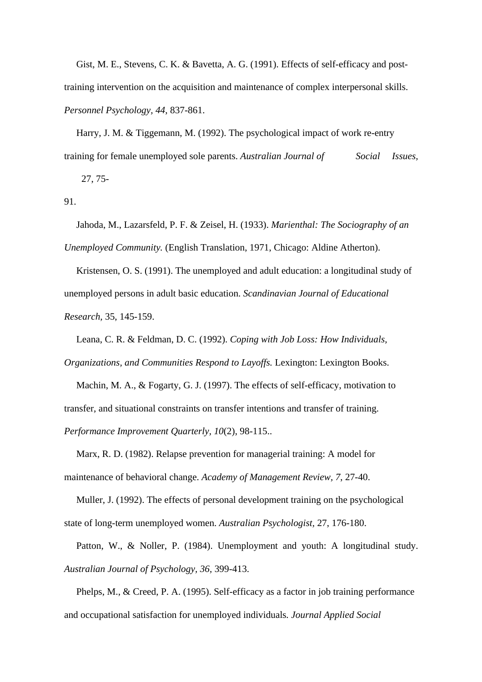Gist, M. E., Stevens, C. K. & Bavetta, A. G. (1991). Effects of self-efficacy and posttraining intervention on the acquisition and maintenance of complex interpersonal skills. *Personnel Psychology, 44*, 837-861.

 Harry, J. M. & Tiggemann, M. (1992). The psychological impact of work re-entry training for female unemployed sole parents. *Australian Journal of Social Issues,*

27, 75-

91.

 Jahoda, M., Lazarsfeld, P. F. & Zeisel, H. (1933). *Marienthal: The Sociography of an Unemployed Community.* (English Translation, 1971, Chicago: Aldine Atherton).

 Kristensen, O. S. (1991). The unemployed and adult education: a longitudinal study of unemployed persons in adult basic education. *Scandinavian Journal of Educational Research,* 35, 145-159.

 Leana, C. R. & Feldman, D. C. (1992). *Coping with Job Loss: How Individuals, Organizations, and Communities Respond to Layoffs.* Lexington: Lexington Books.

 Machin, M. A., & Fogarty, G. J. (1997). The effects of self-efficacy, motivation to transfer, and situational constraints on transfer intentions and transfer of training. *Performance Improvement Quarterly, 10*(2), 98-115..

 Marx, R. D. (1982). Relapse prevention for managerial training: A model for maintenance of behavioral change. *Academy of Management Review, 7*, 27-40.

 Muller, J. (1992). The effects of personal development training on the psychological state of long-term unemployed women. *Australian Psychologist,* 27, 176-180.

 Patton, W., & Noller, P. (1984). Unemployment and youth: A longitudinal study. *Australian Journal of Psychology, 36,* 399-413.

 Phelps, M., & Creed, P. A. (1995). Self-efficacy as a factor in job training performance and occupational satisfaction for unemployed individuals*. Journal Applied Social*